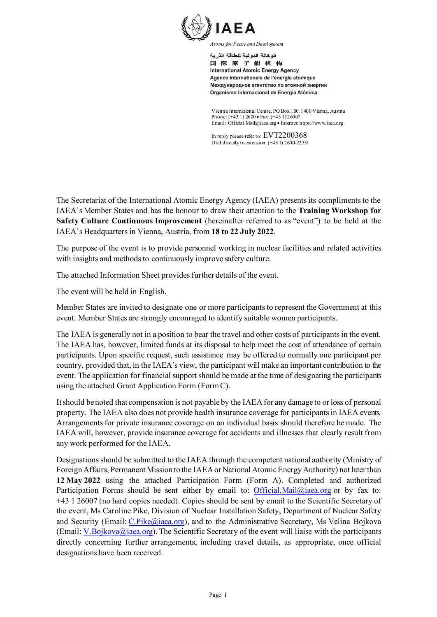

الوكالة الدولية للطاقة الذرية 国际原子能机构 **International Atomic Energy Agency** Agence internationale de l'énergie atomique Международное агентство по атомной энергии Organismo Internacional de Energía Atómica

Vienna International Centre, PO Box 100, 1400 Vienna, Austria Phone: (+43 1) 2600 • Fax: (+43 1) 26007 Email: Official.Mail@iaea.org • Internet: https://www.iaea.org

In reply please refer to: EVT2200368 Dial directly to extension: (+43 1) 2600-22551

The Secretariat of the International Atomic Energy Agency (IAEA) presents its compliments to the IAEA's Member States and has the honour to draw their attention to the **Training Workshop for Safety Culture Continuous Improvement** (hereinafter referred to as "event") to be held at the IAEA's Headquarters in Vienna, Austria, from **18 to 22 July 2022**.

The purpose of the event is to provide personnel working in nuclear facilities and related activities with insights and methods to continuously improve safety culture.

The attached Information Sheet provides further details of the event.

The event will be held in English.

Member States are invited to designate one or more participants to represent the Government at this event. Member States are strongly encouraged to identify suitable women participants.

The IAEA is generally not in a position to bear the travel and other costs of participants in the event. The IAEA has, however, limited funds at its disposal to help meet the cost of attendance of certain participants. Upon specific request, such assistance may be offered to normally one participant per country, provided that, in the IAEA's view, the participant will make an important contribution to the event. The application for financial support should be made at the time of designating the participants using the attached Grant Application Form (Form C).

It should be noted that compensation is not payable by the IAEA for any damage to or loss of personal property. The IAEA also does not provide health insurance coverage for participants in IAEA events. Arrangements for private insurance coverage on an individual basis should therefore be made. The IAEA will, however, provide insurance coverage for accidents and illnesses that clearly result from any work performed for the IAEA.

Designations should be submitted to the IAEA through the competent national authority (Ministry of Foreign Affairs, Permanent Mission to the IAEA or National Atomic Energy Authority) not later than **12 May 2022** using the attached Participation Form (Form A). Completed and authorized Participation Forms should be sent either by email to: [Official.Mail@iaea.org](mailto:Official.Mail@iaea.org) or by fax to: +43 1 26007 (no hard copies needed). Copies should be sent by email to the Scientific Secretary of the event, Ms Caroline Pike, Division of Nuclear Installation Safety, Department of Nuclear Safety and Security (Email: [C.Pike@iaea.org](mailto:C.Pike@iaea.org)), and to the Administrative Secretary, Ms Velina Bojkova (Email: [V.Bojkova@iaea.org](mailto:V.Bojkova@iaea.org)). The Scientific Secretary of the event will liaise with the participants directly concerning further arrangements, including travel details, as appropriate, once official designations have been received.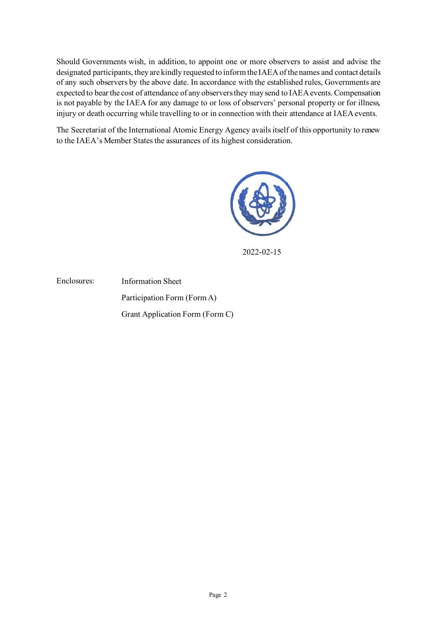Should Governments wish, in addition, to appoint one or more observers to assist and advise the designated participants, they are kindly requested to inform the IAEA of the names and contact details of any such observers by the above date. In accordance with the established rules, Governments are expected to bear the cost of attendance of any observers they may send to IAEA events. Compensation is not payable by the IAEA for any damage to or loss of observers' personal property or for illness, injury or death occurring while travelling to or in connection with their attendance at IAEA events.

The Secretariat of the International Atomic Energy Agency avails itself of this opportunity to renew to the IAEA's Member States the assurances of its highest consideration.



2022-02-15

Enclosures: Information Sheet Participation Form (Form A) Grant Application Form (Form C)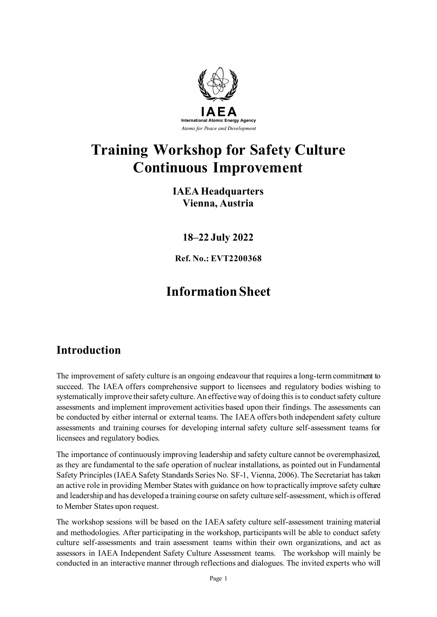

# **Training Workshop for Safety Culture Continuous Improvement**

## **IAEA Headquarters Vienna, Austria**

**18–22 July 2022**

**Ref. No.: EVT2200368**

# **Information Sheet**

# **Introduction**

The improvement of safety culture is an ongoing endeavour that requires a long-term commitment to succeed. The IAEA offers comprehensive support to licensees and regulatory bodies wishing to systematically improve their safety culture. An effective way of doing this is to conduct safety culture assessments and implement improvement activities based upon their findings. The assessments can be conducted by either internal or external teams. The IAEA offers both independent safety culture assessments and training courses for developing internal safety culture self-assessment teams for licensees and regulatory bodies.

The importance of continuously improving leadership and safety culture cannot be overemphasized, as they are fundamental to the safe operation of nuclear installations, as pointed out in Fundamental Safety Principles (IAEA Safety Standards Series No. SF-1, Vienna, 2006). The Secretariat has taken an active role in providing Member States with guidance on how to practically improve safety culture and leadership and has developed a training course on safety culture self-assessment, which is offered to Member States upon request.

The workshop sessions will be based on the IAEA safety culture self-assessment training material and methodologies. After participating in the workshop, participants will be able to conduct safety culture self-assessments and train assessment teams within their own organizations, and act as assessors in IAEA Independent Safety Culture Assessment teams. The workshop will mainly be conducted in an interactive manner through reflections and dialogues. The invited experts who will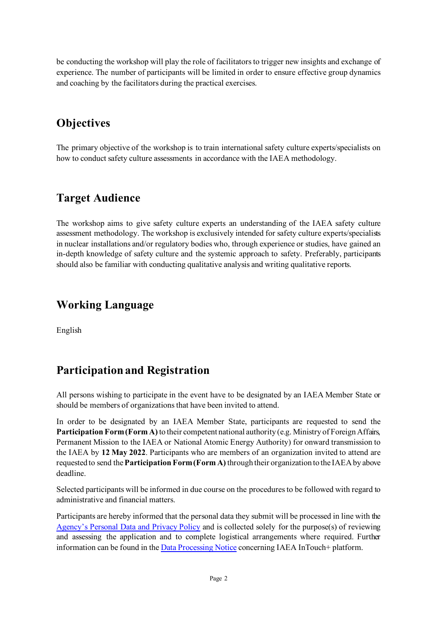be conducting the workshop will play the role of facilitators to trigger new insights and exchange of experience. The number of participants will be limited in order to ensure effective group dynamics and coaching by the facilitators during the practical exercises.

# **Objectives**

The primary objective of the workshop is to train international safety culture experts/specialists on how to conduct safety culture assessments in accordance with the IAEA methodology.

## **Target Audience**

The workshop aims to give safety culture experts an understanding of the IAEA safety culture assessment methodology. The workshop is exclusively intended for safety culture experts/specialists in nuclear installations and/or regulatory bodies who, through experience or studies, have gained an in-depth knowledge of safety culture and the systemic approach to safety. Preferably, participants should also be familiar with conducting qualitative analysis and writing qualitative reports.

## **Working Language**

English

# **Participation and Registration**

All persons wishing to participate in the event have to be designated by an IAEA Member State or should be members of organizations that have been invited to attend.

In order to be designated by an IAEA Member State, participants are requested to send the **Participation Form (Form A)** to their competent national authority (e.g. Ministry of Foreign Affairs, Permanent Mission to the IAEA or National Atomic Energy Authority) for onward transmission to the IAEA by **12 May 2022**. Participants who are members of an organization invited to attend are requested to send the **Participation Form (Form A)** through their organization to the IAEA by above deadline.

Selected participants will be informed in due course on the procedures to be followed with regard to administrative and financial matters.

Participants are hereby informed that the personal data they submit will be processed in line with the [Agency's Personal Data and Privacy Policy](https://www.iaea.org/about/privacy-policy) and is collected solely for the purpose(s) of reviewing and assessing the application and to complete logistical arrangements where required. Further information can be found in th[e Data Processing Notice](https://nucleus.iaea.org/sites/intouchplushelp/Documents/itp_dpn.pdf) concerning IAEA InTouch+ platform.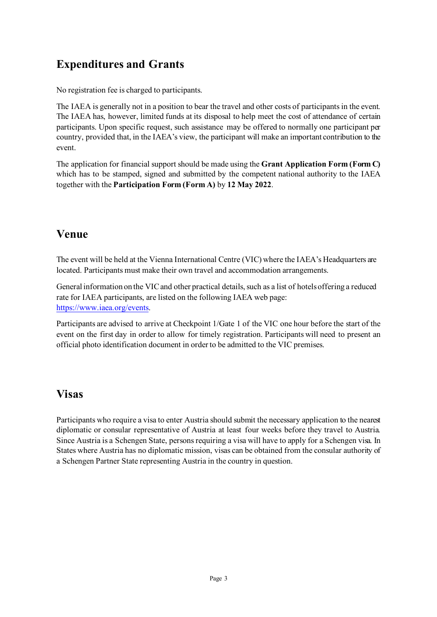# **Expenditures and Grants**

No registration fee is charged to participants.

The IAEA is generally not in a position to bear the travel and other costs of participants in the event. The IAEA has, however, limited funds at its disposal to help meet the cost of attendance of certain participants. Upon specific request, such assistance may be offered to normally one participant per country, provided that, in the IAEA's view, the participant will make an important contribution to the event.

The application for financial support should be made using the **Grant Application Form (Form C)** which has to be stamped, signed and submitted by the competent national authority to the IAEA together with the **Participation Form (Form A)** by **12 May 2022**.

## **Venue**

The event will be held at the Vienna International Centre (VIC) where the IAEA's Headquarters are located. Participants must make their own travel and accommodation arrangements.

General information on the VIC and other practical details, such as a list of hotels offering a reduced rate for IAEA participants, are listed on the following IAEA web page: <https://www.iaea.org/events>.

Participants are advised to arrive at Checkpoint 1/Gate 1 of the VIC one hour before the start of the event on the first day in order to allow for timely registration. Participants will need to present an official photo identification document in order to be admitted to the VIC premises.

## **Visas**

Participants who require a visa to enter Austria should submit the necessary application to the nearest diplomatic or consular representative of Austria at least four weeks before they travel to Austria. Since Austria is a Schengen State, persons requiring a visa will have to apply for a Schengen visa. In States where Austria has no diplomatic mission, visas can be obtained from the consular authority of a Schengen Partner State representing Austria in the country in question.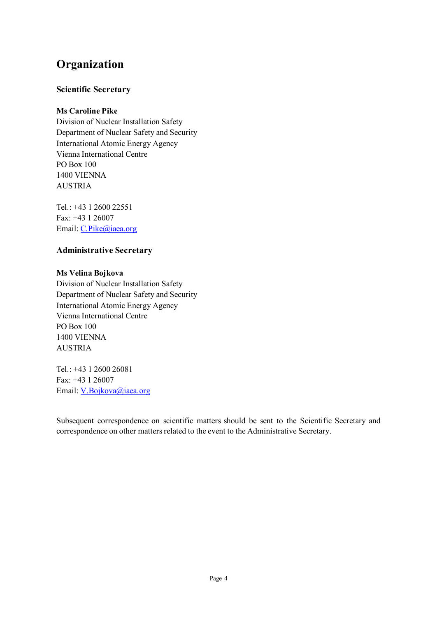# **Organization**

## **Scientific Secretary**

## **Ms Caroline Pike**

Division of Nuclear Installation Safety Department of Nuclear Safety and Security International Atomic Energy Agency Vienna International Centre PO Box 100 1400 VIENNA AUSTRIA

Tel.: +43 1 2600 22551 Fax: +43 1 26007 Email: C.Pike@iaea.org

## **Administrative Secretary**

### **Ms Velina Bojkova**

Division of Nuclear Installation Safety Department of Nuclear Safety and Security International Atomic Energy Agency Vienna International Centre PO Box 100 1400 VIENNA AUSTRIA

Tel.: +43 1 2600 26081 Fax: +43 1 26007 Email: V.Bojkova@iaea.org

Subsequent correspondence on scientific matters should be sent to the Scientific Secretary and correspondence on other matters related to the event to the Administrative Secretary.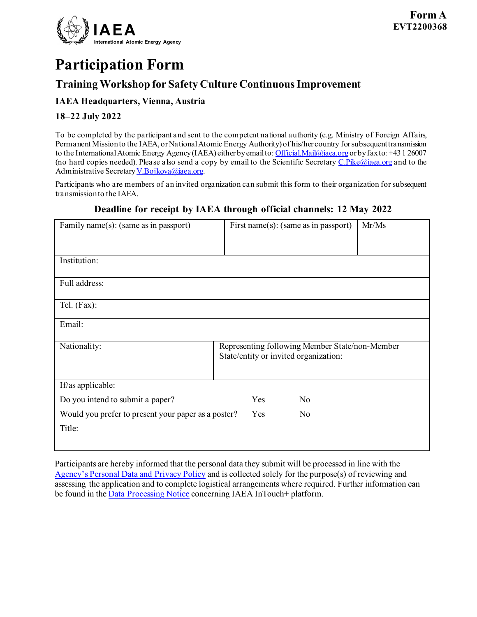

# **Participation Form**

## **Training Workshop for Safety Culture Continuous Improvement**

## **IAEA Headquarters, Vienna, Austria**

## **18–22 July 2022**

To be completed by the participant and sent to the competent national authority (e.g. Ministry of Foreign Affairs, Permanent Mission to the IAEA, or National Atomic Energy Authority) of his/her country for subsequent transmission to the International Atomic Energy Agency (IAEA) either by email to[: Official.Mail@iaea.org](mailto:official.mail@iaea.org) or by fax to: +431 26007 (no hard copies needed). Please also send a copy by email to the Scientific Secretary  $C.Pike@i$ aea.org and to the Administrative Secretar[y V.Bojkova@iaea.org.](mailto:V.Bojkova@iaea.org)

Participants who are members of an invited organization can submit this form to their organization for subsequent transmission to the IAEA.

## **Deadline for receipt by IAEA through official channels: 12 May 2022**

| Family name(s): (same as in passport)                         | Mr/Ms<br>First name $(s)$ : (same as in passport)                                       |  |  |  |
|---------------------------------------------------------------|-----------------------------------------------------------------------------------------|--|--|--|
| Institution:                                                  |                                                                                         |  |  |  |
| Full address:                                                 |                                                                                         |  |  |  |
| Tel. (Fax):                                                   |                                                                                         |  |  |  |
| Email:                                                        |                                                                                         |  |  |  |
| Nationality:                                                  | Representing following Member State/non-Member<br>State/entity or invited organization: |  |  |  |
| If/as applicable:                                             |                                                                                         |  |  |  |
| Do you intend to submit a paper?                              | Yes<br>No                                                                               |  |  |  |
| Would you prefer to present your paper as a poster?<br>Title: | Yes<br>No                                                                               |  |  |  |

Participants are hereby informed that the personal data they submit will be processed in line with the [Agency's Personal Data and Privacy Policy](https://www.iaea.org/about/privacy-policy) and is collected solely for the purpose(s) of reviewing and assessing the application and to complete logistical arrangements where required. Further information can be found in the [Data Processing Notice](https://nucleus.iaea.org/sites/intouchplushelp/Documents/itp_dpn.pdf) concerning IAEA InTouch+ platform.